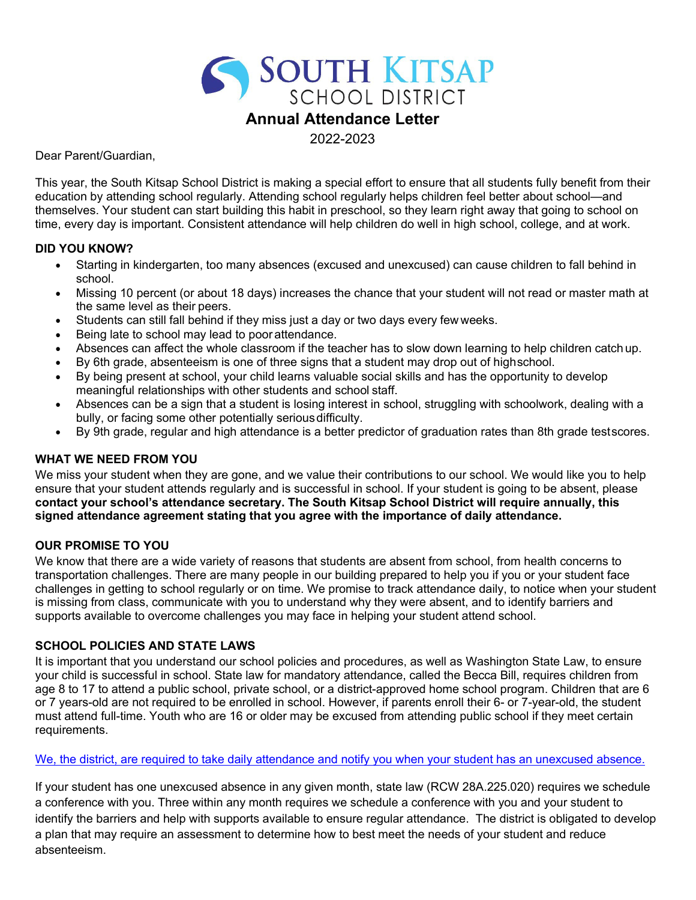# SOUTH KITSAP **Annual Attendance Letter**

2022-2023

Dear Parent/Guardian,

This year, the South Kitsap School District is making a special effort to ensure that all students fully benefit from their education by attending school regularly. Attending school regularly helps children feel better about school—and themselves. Your student can start building this habit in preschool, so they learn right away that going to school on time, every day is important. Consistent attendance will help children do well in high school, college, and at work.

### **DID YOU KNOW?**

- Starting in kindergarten, too many absences (excused and unexcused) can cause children to fall behind in school.
- Missing 10 percent (or about 18 days) increases the chance that your student will not read or master math at the same level as their peers.
- Students can still fall behind if they miss just a day or two days every few weeks.
- Being late to school may lead to poor attendance.
- Absences can affect the whole classroom if the teacher has to slow down learning to help children catchup.
- By 6th grade, absenteeism is one of three signs that a student may drop out of highschool.
- By being present at school, your child learns valuable social skills and has the opportunity to develop meaningful relationships with other students and school staff.
- Absences can be a sign that a student is losing interest in school, struggling with schoolwork, dealing with a bully, or facing some other potentially serious difficulty.
- By 9th grade, regular and high attendance is a better predictor of graduation rates than 8th grade testscores.

### **WHAT WE NEED FROM YOU**

We miss your student when they are gone, and we value their contributions to our school. We would like you to help ensure that your student attends regularly and is successful in school. If your student is going to be absent, please **contact your school's attendance secretary. The South Kitsap School District will require annually, this signed attendance agreement stating that you agree with the importance of daily attendance.**

### **OUR PROMISE TO YOU**

We know that there are a wide variety of reasons that students are absent from school, from health concerns to transportation challenges. There are many people in our building prepared to help you if you or your student face challenges in getting to school regularly or on time. We promise to track attendance daily, to notice when your student is missing from class, communicate with you to understand why they were absent, and to identify barriers and supports available to overcome challenges you may face in helping your student attend school.

### **SCHOOL POLICIES AND STATE LAWS**

It is important that you understand our school policies and procedures, as well as Washington State Law, to ensure your child is successful in school. State law for mandatory attendance, called the Becca Bill, requires children from age 8 to 17 to attend a public school, private school, or a district-approved home school program. Children that are 6 or 7 years-old are not required to be enrolled in school. However, if parents enroll their 6- or 7-year-old, the student must attend full-time. Youth who are 16 or older may be excused from attending public school if they meet certain requirements.

#### We, the district, are required to take daily attendance and notify you when your student has an unexcused absence.

If your student has one unexcused absence in any given month, state law (RCW 28A.225.020) requires we schedule a conference with you. Three within any month requires we schedule a conference with you and your student to identify the barriers and help with supports available to ensure regular attendance. The district is obligated to develop a plan that may require an assessment to determine how to best meet the needs of your student and reduce absenteeism.